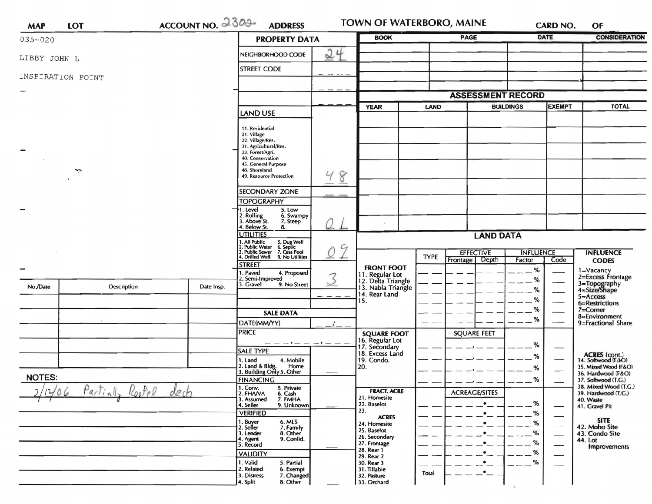| <b>MAP</b>               | <b>LOT</b>        | $ACCOUNTNO. 2300-$   | <b>ADDRESS</b>                                                                                                                                                                                                                                                                                                                                             |             | TOWN OF WATERBORO, MAINE                                                                                |                     |                                             |                                   | <b>CARD NO.</b>             | OF                                                                                               |
|--------------------------|-------------------|----------------------|------------------------------------------------------------------------------------------------------------------------------------------------------------------------------------------------------------------------------------------------------------------------------------------------------------------------------------------------------------|-------------|---------------------------------------------------------------------------------------------------------|---------------------|---------------------------------------------|-----------------------------------|-----------------------------|--------------------------------------------------------------------------------------------------|
| $035 - 020$              |                   | <b>PROPERTY DATA</b> |                                                                                                                                                                                                                                                                                                                                                            | <b>BOOK</b> |                                                                                                         | <b>PAGE</b>         |                                             | <b>DATE</b>                       | <b>CONSIDERATION</b>        |                                                                                                  |
| LIBBY JOHN L             |                   |                      | NEIGHBORHOOD CODE                                                                                                                                                                                                                                                                                                                                          | 24          |                                                                                                         |                     |                                             |                                   |                             |                                                                                                  |
|                          | INSPIRATION POINT |                      | <b>STREET CODE</b>                                                                                                                                                                                                                                                                                                                                         |             |                                                                                                         |                     |                                             |                                   |                             |                                                                                                  |
|                          |                   |                      |                                                                                                                                                                                                                                                                                                                                                            |             |                                                                                                         |                     |                                             |                                   |                             |                                                                                                  |
|                          |                   |                      |                                                                                                                                                                                                                                                                                                                                                            |             |                                                                                                         |                     | <b>ASSESSMENT RECORD</b>                    |                                   |                             |                                                                                                  |
|                          |                   |                      | <b>LAND USE</b>                                                                                                                                                                                                                                                                                                                                            |             |                                                                                                         | <b>YEAR</b><br>LAND |                                             | <b>EXEMPT</b><br><b>BUILDINGS</b> |                             | <b>TOTAL</b>                                                                                     |
|                          | ÷                 |                      | 11. Residential<br>21. Village<br>22. Village/Res.<br>31. Agricultural/Res.<br>33. Forest/Agri.<br>40. Conservation<br>45. General Purpose<br>48. Shoreland<br>49. Resource Protection<br><b>SECONDARY ZONE</b><br><b>TOPOGRAPHY</b><br>. Level<br>5. Low<br>2. Rolling<br>3. Above St.<br>6. Swampy<br>7. Steep<br>4. Below St.<br>8.<br><b>UTILITIES</b> | 8<br>Ч      | ÷                                                                                                       |                     | <b>LAND DATA</b>                            |                                   |                             |                                                                                                  |
|                          |                   |                      | 1. All Public<br>2. Public Water<br>3. Public Sewer<br>5. Dug Well<br>6. Septic<br>7. Cess Pool<br>4. Drilled Well 9. No Utilities                                                                                                                                                                                                                         | $\zeta$     |                                                                                                         | <b>TYPE</b>         | <b>EFFECTIVE</b>                            | <b>INFLUENCE</b>                  |                             | <b>INFLUENCE</b>                                                                                 |
|                          |                   |                      | <b>STREET</b>                                                                                                                                                                                                                                                                                                                                              |             | <b>FRONT FOOT</b>                                                                                       |                     | Frontage Depth                              | Factor<br>$\%$                    | Code                        | <b>CODES</b>                                                                                     |
| No./Date                 | Description       | Date Insp.           | . Paved<br>4. Proposed<br>2. Semi-Improved<br>9. No Street<br>3. Gravel                                                                                                                                                                                                                                                                                    |             | 11. Regular Lot<br>12. Delta Triangle<br>13. Nabla Triangle<br>14. Rear Land<br>15.                     |                     |                                             | %<br>%<br>%                       |                             | 1=Vacancy<br>2=Excess Frontage<br>3=Topography<br>4=Size/Shape<br>$5 =$ Access<br>6=Restrictions |
|                          |                   |                      | <b>SALE DATA</b>                                                                                                                                                                                                                                                                                                                                           |             |                                                                                                         |                     |                                             | %                                 |                             | $7 =$ Corner<br>8=Environment                                                                    |
|                          |                   |                      | DATE(MM/YY)                                                                                                                                                                                                                                                                                                                                                |             |                                                                                                         |                     |                                             | %                                 |                             | 9=Fractional Share                                                                               |
|                          |                   |                      | <b>PRICE</b>                                                                                                                                                                                                                                                                                                                                               | ——————————  |                                                                                                         |                     | <b>SQUARE FEET</b>                          | %                                 |                             |                                                                                                  |
|                          |                   |                      | <b>SALE TYPE</b>                                                                                                                                                                                                                                                                                                                                           |             | 17. Secondary<br>18. Excess Land                                                                        |                     |                                             | ℅                                 | $\overbrace{\hspace{15em}}$ | <b>ACRES</b> (cont.)<br>34. Softwood (F/sO)                                                      |
|                          |                   |                      | 1. Land<br>4. Mobile<br>2. Land & Bldg. Home<br>3. Building Only 5. Other<br>Home                                                                                                                                                                                                                                                                          |             | 19. Condo.<br>20.                                                                                       |                     |                                             | ℅                                 |                             | 35. Mixed Wood (F&O)<br>36. Hardwood (F&O)                                                       |
| <b>NOTES:</b>            |                   |                      | <b>FINANCING</b><br>1. Conv.<br>5. Private                                                                                                                                                                                                                                                                                                                 |             |                                                                                                         |                     |                                             | ℅                                 |                             | 37. Softwood (T.G.)<br>38. Mixed Wood (T.G.)                                                     |
| Partially Roofel<br>dech |                   |                      | 2. FHAVA<br>6. Cash<br>7. FMHA<br>3. Assumed<br>4. Seller<br>9. Unknown<br><b>VERIFIED</b><br>6. MLS<br>1. Buyer<br>2. Seller<br>7. Family                                                                                                                                                                                                                 |             | <b>FRACT. ACRE</b><br>21. Homesite<br>22. Baselot<br>23.<br><b>ACRES</b><br>24. Homesite<br>25. Baselot |                     | <b>ACREAGE/SITES</b><br>٠<br>٠<br>$\bullet$ | %<br>%<br>℅                       | $\overline{\phantom{0}}$    | 39. Hardwood (T.G.)<br>40. Waste<br>41. Gravel Pit<br><b>SITE</b><br>42. Moho Site               |
|                          |                   |                      | 8. Other<br>3. Lender<br>9. Confid.<br>4. Agent<br>5. Record<br><b>VALIDITY</b><br>1. Valid<br>5. Partial                                                                                                                                                                                                                                                  |             | 26. Secondary<br>27. Frontage<br>28. Rear 1<br>29. Rear 2<br>30. Rear 3                                 |                     | $\bullet$<br>$\bullet$                      | $\%$<br>%<br>%<br>%               | $\overline{\phantom{0}}$    | 43. Condo Site<br>44. Lot<br><b>Improvements</b>                                                 |
|                          |                   |                      | 2. Related<br>6. Exempt<br>7. Changed<br>3. Distress<br>8. Other<br>4. Split                                                                                                                                                                                                                                                                               |             | 31. Tillable<br>32. Pasture<br>33. Orchard                                                              | Total               | $\bullet$                                   |                                   |                             |                                                                                                  |